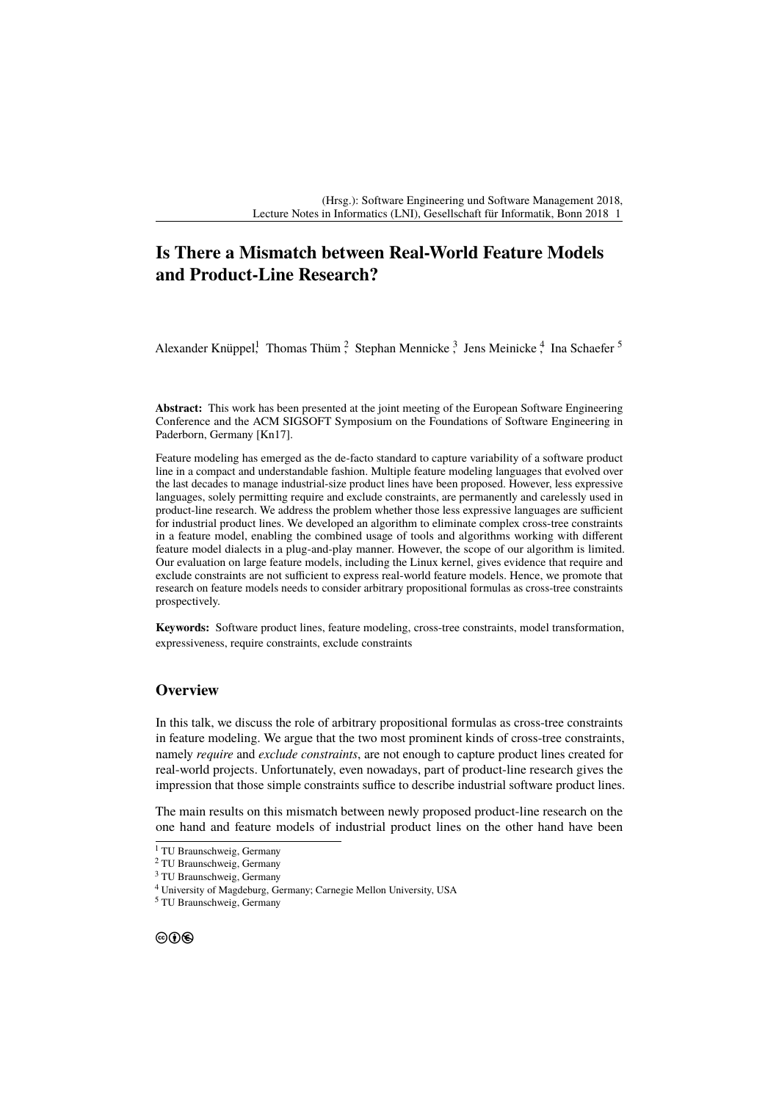## **Is There a Mismatch between Real-World Feature Models and Product-Line Research?**

Alexander Knüppel<sup>1</sup> Thomas Thüm<sup>2</sup> Stephan Mennicke<sup>3</sup> Jens Meinicke<sup>4</sup> Ina Schaefer<sup>5</sup>

**Abstract:** This work has been presented at the joint meeting of the European Software Engineering Conference and the ACM SIGSOFT Symposium on the Foundations of Software Engineering in Paderborn, Germany [\[Kn17\]](#page-1-0).

Feature modeling has emerged as the de-facto standard to capture variability of a software product line in a compact and understandable fashion. Multiple feature modeling languages that evolved over the last decades to manage industrial-size product lines have been proposed. However, less expressive languages, solely permitting require and exclude constraints, are permanently and carelessly used in product-line research. We address the problem whether those less expressive languages are sufficient for industrial product lines. We developed an algorithm to eliminate complex cross-tree constraints in a feature model, enabling the combined usage of tools and algorithms working with different feature model dialects in a plug-and-play manner. However, the scope of our algorithm is limited. Our evaluation on large feature models, including the Linux kernel, gives evidence that require and exclude constraints are not sufficient to express real-world feature models. Hence, we promote that research on feature models needs to consider arbitrary propositional formulas as cross-tree constraints prospectively.

**Keywords:** Software product lines, feature modeling, cross-tree constraints, model transformation, expressiveness, require constraints, exclude constraints

## **Overview**

In this talk, we discuss the role of arbitrary propositional formulas as cross-tree constraints in feature modeling. We argue that the two most prominent kinds of cross-tree constraints, namely *require* and *exclude constraints*, are not enough to capture product lines created for real-world projects. Unfortunately, even nowadays, part of product-line research gives the impression that those simple constraints suffice to describe industrial software product lines.

The main results on this mismatch between newly proposed product-line research on the one hand and feature models of industrial product lines on the other hand have been

<sup>&</sup>lt;sup>1</sup> TU Braunschweig, Germany

<sup>2</sup> TU Braunschweig, Germany

<sup>3</sup> TU Braunschweig, Germany

<sup>4</sup> University of Magdeburg, Germany; Carnegie Mellon University, USA

<sup>5</sup> TU Braunschweig, Germany